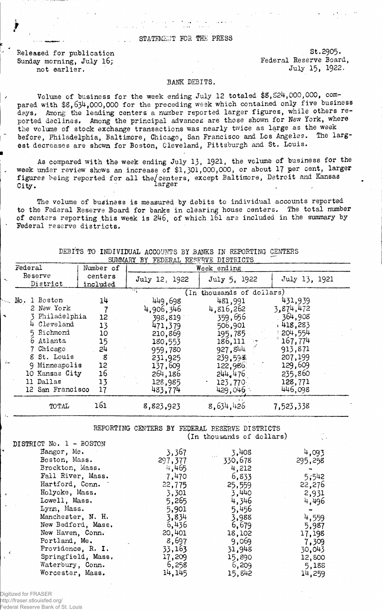## STATEMENT FOR THE PRESS

Released for publication St.2905.<br>Sunday morning, July 16: Sunday St.2905. Sunday morning, July 16; not earlier. July 15, 1922.

## BANK DEBITS.

Volume of business for the week ending July 12 totaled \$8,824,000,000, compared with \$S,634,000,000 for the preceding week which contained only five business days, Among the leading centers a number reported larger figures, while others reported declines. Among the principal advances are those shown for New York, where the volume of stock exchange transactions was nearly twice as large as the week before, Philadelphia, Baltimore, Chicago, San Francisco and Los Angeles. The largest decreases are shown for Boston, Cleveland, Pittsburgh and St. Louis.

As compared with the week ending July 13, 1921, the volume of business for the week under review shows an increase of \$1,301,000,000, or about 17 per cent, larger figures being reported for all the/centers, except Baltimore, Detroit and Kansas City. Larger

The volume of business is measured by debits to individual accounts reported to the Federal Reserve Board for banks in clearing house centers. The total number of centers reporting this week is 246, of which 161 are included in the summary by Federal reserve districts.

|                                                                                                                                                                       |                                                   | SUMMARY BY FEDERAL RESERVE DISTRICTS                                                                         |                                                                                                                |                                                                                                                |  |  |
|-----------------------------------------------------------------------------------------------------------------------------------------------------------------------|---------------------------------------------------|--------------------------------------------------------------------------------------------------------------|----------------------------------------------------------------------------------------------------------------|----------------------------------------------------------------------------------------------------------------|--|--|
| Federal                                                                                                                                                               | Number of<br>Week ending                          |                                                                                                              |                                                                                                                |                                                                                                                |  |  |
| Reserve<br>District                                                                                                                                                   | centers<br>included                               | July 12, 1922                                                                                                | July 5, 1922                                                                                                   | July 13, 1921                                                                                                  |  |  |
|                                                                                                                                                                       |                                                   | (In thousands of dollars)                                                                                    |                                                                                                                |                                                                                                                |  |  |
| 1 Boston<br>$\overline{\text{No}}$ .<br>2 New York<br>Philadelphia<br>Cleveland<br>5 Richmond<br>6 Atlanta<br>Chicago<br>8 St. Louis<br>Minneapolis<br>10 Kansas City | 14<br>12<br>13<br>10<br>15<br>24<br>g<br>12<br>16 | 449,698<br>4,906,346<br>398,819<br>471,379<br>210,869<br>180,553<br>959,780<br>231,925<br>137,609<br>264,186 | 481,991<br>4,816,262<br>359,656<br>506,901<br>195,785<br>186,111<br>927,844<br>239.593.<br>122,986.<br>244.476 | 431,939<br>3,874,472<br>364,908<br>, 418.283<br>204,554<br>167,774<br>913,871<br>207,199<br>129,609<br>235,860 |  |  |
| 11 Dallas<br>12 San Francisco                                                                                                                                         | 13<br>17                                          | 128,985<br>483,774                                                                                           | 123,770<br>429,046                                                                                             | 128,771<br>446,098                                                                                             |  |  |
| TOTAL                                                                                                                                                                 | 161                                               | 8,823,923                                                                                                    | 8,634,426                                                                                                      | 7,523,338                                                                                                      |  |  |

DEBITS TO INDIVIDUAL ACCOUNTS BY BANKS IN REPORTING- CENTERS

REPORTING CENTERS BY FEDERAL RESERVE DISTRICTS (In thousands of dollars)

| DISTRICT No. 1 - BOSTON |         |         |         |
|-------------------------|---------|---------|---------|
| Bangor, Me.             | 3,367   | 3,408   | 4,093   |
| Boston, Mass.           | 297,377 | 330,678 | 295,258 |
| Brockton, Mass.         | 4,465   | 4,212   |         |
| Fall River, Mass.       | 7,470   | 6,833   | 5,542   |
| Hartford, Conn.         | 22,775  | 25,559  | 22,276  |
| Holyoke, Mass.          | 3,301   | 3.440   | 2,931   |
| Lowell, Mass,           | 5,265   | 4,346   | 4,496   |
| Lynn, Mass.             | 5,901   | 5,456   |         |
| Manchester, N. H.       | 3,834   | 3,988   | 4,559   |
| New Bedford, Mass.      | 6,436   | 6,679   | 5,987   |
| New Haven, Conn.        | 20,401  | 18,102  | 17,198  |
| Portland, Me.           | 8,697   | 9,069   | 7,309   |
| Providence, R. I.       | 33,163  | 31,948  | 30,043  |
| Springfield, Mass.      | 17,209  | 15,890  | 12,800  |
| Waterbury, Conn.        | 6,258   | 6,209   | 5,188   |
| Worcester, Mass.        | 14, 145 | 15,842  | 14,259  |

Digitized for FRASER

http://fraser.stlouisfed.org/ **Federal Reserve Bank of St.**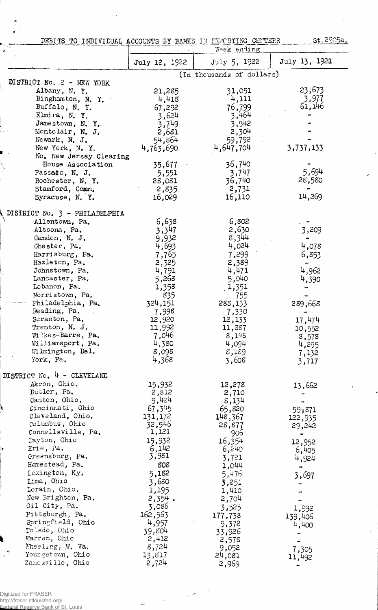| DEBITS TO INDIVIDUAL ACCOUNTS BY BANKS IN FEPORTING CENTERS |               | Week ending               | st.2905a.     |
|-------------------------------------------------------------|---------------|---------------------------|---------------|
|                                                             | July 12, 1922 | July 5, 1922              | July 13, 1921 |
|                                                             |               | (In thousands of dollars) |               |
| DISTRICT No. 2 - NEW YORK                                   |               |                           |               |
| Albany, N.Y.                                                | 21,285        | 31,051                    | $-23,673$     |
| Binghamton, N.Y.                                            | 4,418         | 4,111                     | 3,977         |
| Buffalo, N.Y.                                               | 67,292        | 76,799                    | 61,146        |
| Elmira, N.Y.                                                | 3,624         | 3,464                     |               |
| Jamestown, N.Y.                                             | 3,749         | 3,542                     |               |
| Montclair, N. J.                                            | 2,681         | 2,304                     |               |
| Newark, N. J.                                               | 54,864        | 59,792                    |               |
| New York, N. Y.                                             | 4,763,690     | 4,647,704                 | 3,737,133     |
| No. New Jersey Clearing                                     |               |                           |               |
| House Association                                           | 35,677        | 36,740                    |               |
| Passatc, N. J.                                              | 5,551         | 3,747                     | 5,694         |
| Rochester, N.Y.                                             | 28,081        | 36,740                    | 28,580        |
| Stamford, Comn.                                             | 2,835         | 2,731                     |               |
| Syracuse, N.Y.                                              | 16,029        | 16,110                    | 14,269        |
|                                                             |               |                           |               |
| DISTRICT No. 3 - PHILADELPHIA                               |               |                           |               |
| Allentown, Pa.                                              | 6,638         | 6,802                     |               |
| Altoona, Pa.                                                | 3,347         | 2,630                     | 3,209         |
| Camden, N. J.                                               | 9,932         | 8,344                     |               |
| Chester, Pa.                                                | 4,693         | 4,024                     | 4,078         |
| Harrisburg, Pa.                                             | 7,765         | 7,299                     | 6,853         |
| Hazleton, Pa.                                               | 2,325         | 2,389                     |               |
| Johnstown, Pa.                                              | 4,791         | 4,471                     | 4,962         |
| Lancaster, Pa.                                              | 5,268         | 5,040                     | 4,390         |
| Lebanon, Pa.                                                | 1,358         | 1,351                     |               |
| Norristown, Pa.                                             | 835           | 755                       |               |
| Philadelphia, Pa.                                           | 324,151       | 288,133                   | 289,668       |
| Reading, Pa.                                                | 7,998         | 7,330                     |               |
| Scranton, Pa.                                               | 12,920        | 12,133                    | 17,474        |
| Trenton, N. J.                                              | 11,992        | 11,387                    | 10,552        |
| Wilkes-Barre, Pa.                                           | 7,046         | 8,148                     |               |
| Williamsport, Pa.                                           | 4,380         | 4,094                     | 8,578         |
| Wilmington, Del.                                            | 8,098         | 8,189                     | 4,295         |
| York, Pa.                                                   | 4,368         | 3,608                     | 7,132         |
|                                                             |               |                           | 3,717         |
| DISTRICT No. $4$ - CLEVELAND                                |               |                           |               |
| Akron, Ohio.                                                | 15,932        | 12,278                    | 13,662        |
| Butler, Pa.                                                 | 2,812         | 2,710                     |               |
| Canton, Ohio.                                               | 9,424         | 8,134                     |               |
| Cincinnati, Ohio                                            | 67,345        | 65,820                    | 597871        |
| Cleveland, Ohio.                                            | 131,172       | 148,367                   | 122,935       |
| Columbus, Ohio                                              | 32,546        | 28,877                    | 29,242        |
| Connellsville, Pa.                                          | 1,121         | 906                       | $\bullet$     |
| Dayton, Ohio                                                | 15,932        | 16,354                    | 12,952        |
| Erie, Pa.                                                   | 6,142         | 6,240                     | 6,405         |
| Greensburg, Pa.                                             | 3,981         | 3,721                     | 4,924         |
| Homestead, Pa.                                              | 808           | 1,044                     |               |
| Lexington, Ky.                                              | 5,182         | 5,476                     | 3,697         |
| Lima, Ohio                                                  | 3,680         | 3,251                     |               |
| Lorain, Ohio.                                               | 1,195         | 1,410                     |               |
| New Brighton, Pa.                                           | $2,354$ .     | 2,704                     |               |
| Oil City, Pa.                                               | 3,086         | 3,525                     |               |
| Pittsburgh, Pa.                                             | 162,563       | 177,738                   | 1,992         |
| Springfield, Ohio                                           | 4,957         |                           | 139,406       |
| Toledo, Ohio                                                | 39,804        | 5,372                     | 4,400         |
| Warren, Ohio                                                | 2,412         | 33,926                    |               |
| Wheeling, W. Va.                                            |               | 2,578                     |               |
| $\mathfrak{S}$<br>Your gstown, Ohio                         | 8,724         | 9,052                     | 7,305         |
| Zanesville, Ohio                                            | 13,817        | 24,081                    | 11,492        |
|                                                             | 2,724         | 2,969                     |               |

Digitized for FRASER http://fraser.stlouisfed.org/ Federal Reserve Bank of St. Louis

 $\ddot{\phantom{0}}$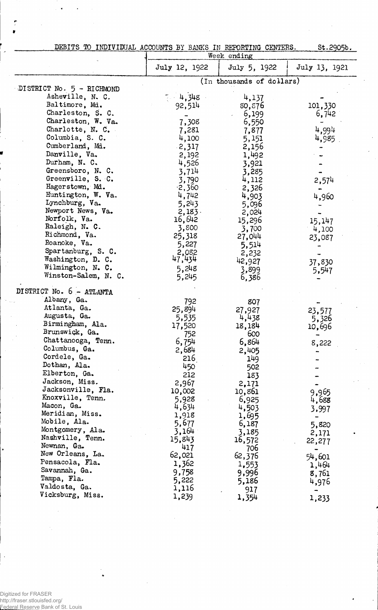|  | DEBITS TO INDIVIDUAL ACCOUNTS BY BANKS IN REPORTING CENTERS. |  |  |  |
|--|--------------------------------------------------------------|--|--|--|
|  |                                                              |  |  |  |
|  |                                                              |  |  |  |

St.2905b.

|                                                 | Week ending     |                           |                |  |  |
|-------------------------------------------------|-----------------|---------------------------|----------------|--|--|
|                                                 | July 12, 1922   | July 5, 1922              | July 13, 1921  |  |  |
|                                                 |                 | (In thousands of dollars) |                |  |  |
| DISTRICT No. $5 - RICHMOND$<br>Asheville, N. C. |                 |                           |                |  |  |
|                                                 | 4,348           | 4,137                     |                |  |  |
| Baltimore, Md.                                  | 92,514          | 80, 576                   | 101,330        |  |  |
| Charleston, S. C.                               |                 | 6,199                     | 6,742          |  |  |
| Charleston, W. Va.                              | 7,308           | 6,550                     |                |  |  |
| Charlotte, N. C.                                | 7,281           | 7,877                     | 4,994          |  |  |
| Columbia, S. C.                                 | 4,100           | 5,151                     | 4,985          |  |  |
| Cumberland, Md.                                 | $-2,317$        | 2,156                     |                |  |  |
| Danville, Va.                                   | 2,192           | 1,492                     |                |  |  |
| Durham, N. C.                                   | 4,526           | 3,921                     |                |  |  |
| Greensboro, N. C.<br>Greenville, S. C.          | 3,714           | 3,285                     |                |  |  |
| Hagerstown, Md.                                 | 3,790           | 4,112                     | 2,574          |  |  |
| Huntington, W. Va.                              | $-2,360$        | 2,326                     |                |  |  |
| Lynchburg, Va.                                  | 4,742<br>5,243  | 4,903                     | 4,960          |  |  |
| Newport News, Va.                               | 2,183           | 5,096                     |                |  |  |
| Norfolk, Va.                                    | 16,642          | 2,024                     |                |  |  |
| Raleigh, N. C.                                  | 3,800           | 15,296                    | 15,147         |  |  |
| Richmond, Va.                                   | 25,318          | 3,700<br>27,044           | 4,100          |  |  |
| Roanoke, Va.                                    | 5,227           | 5,514                     | 23,087         |  |  |
| Spartanburg, S. C.                              | 2,082           | 2,232                     |                |  |  |
| Washington, D. C.                               | 47,434          | 42,927                    | 37,830         |  |  |
| Wilmington, N. C.                               | 5,248           | 3,899                     | 5,547          |  |  |
| Winston-Salem, N. C.                            | 5,245           | 6,386                     |                |  |  |
| DISTRICT No. 6 - ATLANTA                        |                 |                           |                |  |  |
| Albany, Ga.                                     | 792             | 807                       |                |  |  |
| Atlanta, Ga.                                    | 25,894          | 27,927                    | 23,577         |  |  |
| Augusta, Ga.                                    | 5,535           | 4,438                     | 5,326          |  |  |
| Birmingham, Ala.                                | 17,520          | 18,184                    | 10,696         |  |  |
| Brunswick, Ga.                                  | 752             | 600                       |                |  |  |
| Chattanooga, Tenn.                              | 6,754           | 6,864                     | 8,222          |  |  |
| Columbus, Ga.                                   | 2,684           | 2,405                     |                |  |  |
| Cordele, Ga.                                    | 216             | 149                       |                |  |  |
| Dothan, Ala.                                    | 450             | 502                       |                |  |  |
| Elberton, Ga.                                   | 212             | 183                       |                |  |  |
| Jackson, Miss.                                  | 2,967           | 2,171                     |                |  |  |
| Jacksonville, Fla.                              | 10,002          | 10,861                    | 9,965          |  |  |
| Knoxville, Tenn.                                | 5,928           | 6,925                     | 4,688          |  |  |
| Macon, Ga.<br>Meridian, Miss.                   | 4,634           | 4,503                     | 3,997          |  |  |
| Mobile, Ala.                                    | 1,918           | 1,695                     |                |  |  |
| Montgomery, Ala.                                | 5,677           | 6,187                     | 5,820          |  |  |
| Nashville, Tenn.                                | 3,164<br>15,843 | 3,185                     | 2,171          |  |  |
| Newnan, Ga.                                     | 417             | 16,572                    | 22,277         |  |  |
| New Orleans, La.                                | 62,021          | 706<br>62,376             |                |  |  |
| Pensacola, Fla.                                 | 1,362           |                           | 54,601         |  |  |
| Savannah, Ga.                                   | 9,758           | 1,553<br>9,996            | 1,464          |  |  |
| Tampa, Fla.                                     | 5,222           | 5,186                     | 8,761<br>4,976 |  |  |
| Valdosta, Ga.                                   | 1,116           | 917                       |                |  |  |
| Vicksburg, Miss.                                | 1,239           | 1,354                     | 1,233          |  |  |
|                                                 |                 |                           |                |  |  |

Digitized for FRASER http://fraser.stlouisfed.org/ Federal Reserve Bank of St. Louis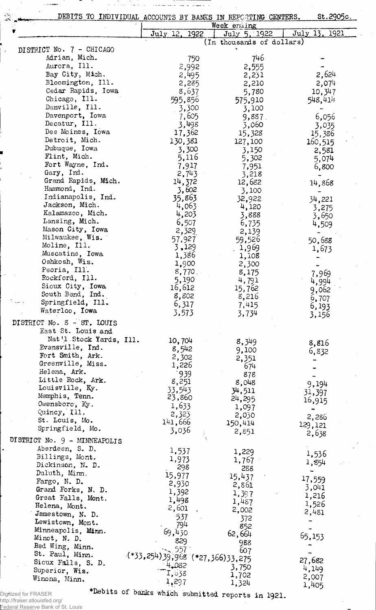|                                           | DEBITS TO INDIVIDUAL ACCOUNTS BY BANKS IN REPORTING CENTERS. | Week ending               | St.2905c.      |
|-------------------------------------------|--------------------------------------------------------------|---------------------------|----------------|
|                                           | July 12, 1922                                                | July 5, 1922              | July 13, 1921  |
|                                           |                                                              | (In thousands of dollars) |                |
| DISTRICT No. 7 - CHICAGO<br>Adrian, Mich. |                                                              | 746                       |                |
| Aurora, Ill.                              | 750                                                          |                           |                |
| Bay City, Mich.                           | 2,992<br>2,495                                               | 2,555                     | 2,624          |
| Bloomington, Ill.                         | 2,285                                                        | 2,231<br>2,210            | 2,074          |
| Cedar Rapids, Iowa                        | 8,637                                                        | 5,780                     | 10,347         |
| Chicago, Ill.                             | 595,856                                                      | 575,910                   | 548,414        |
| Danville, Ill.                            | 3,300                                                        | 3,100                     |                |
| Davenport, Iowa                           | 7,605                                                        | 9,887                     | 6,056          |
| Decatur, Ill.                             | 3,498                                                        | 3,060                     | 3,035          |
| Des Moines, Iowa                          | 17,362                                                       | 15,328                    | 15,386         |
| Detroit, Mich.                            | 130,381                                                      | 127,100                   | 160,515        |
| Dubuque, Iowa                             | 3,300                                                        | 3,150                     | 2,581          |
| Flint, Mich.                              | 5,116                                                        | 5,302                     | 5,074          |
| Fort Wayne, Ind.                          | 7,917                                                        | 7,951                     | 6,800          |
| Gary, Ind.                                | 2,743                                                        | 3,218                     |                |
| Grand Rapids, Mich.                       | 14,372                                                       | 12,682                    | 14,868         |
| Hammond, Ind.                             | 3,602                                                        | 3,100                     |                |
| Indianapolis, Ind.                        | 35,863                                                       | 32,922                    | 34,221         |
| Jackson, Mich.<br>Kalamazoo, Mich.        | 4,063                                                        | 4,120                     | 3,275          |
| Lansing, Mich.                            | 4,203                                                        | 3,888                     | 3,650          |
| Mason City, Iowa                          | 6,507                                                        | 6,735                     | 4,509          |
| Milwaukee, Wis.                           | 2,329<br>57,927                                              | 2,139                     |                |
| Moline, Ill.                              | 3,129                                                        | 59,526<br>1,969           | 50,688         |
| Muscatine, Iowa                           | 1,386                                                        | 1,108                     | 1,673          |
| Oshkosh, Wis.                             | 1,900                                                        | 2,300                     |                |
| Peoria, Ill.                              | 8,770.                                                       | 8,175                     |                |
| Rockford, Ill.                            | 5,190                                                        | 4,791                     | 7,969<br>4,994 |
| Sioux City, Iowa                          | 16,612                                                       | 15,762                    | 9,062          |
| South Bend, Ind.                          | 8,802                                                        | 8,216                     | 6,707          |
| Springfield, Ill.                         | 6,317                                                        | 7,415                     | 6,193          |
| Waterloo, Iowa                            | 3,573                                                        | 3,734                     | 3,156          |
| DISTRICT No. 8 - ST. LOUIS                |                                                              |                           |                |
| East St. Louis and                        |                                                              |                           |                |
| Nat'l Stock Yards, Ill.                   | 10,704                                                       | 8,349                     |                |
| Evansville, Ind.                          | 8,542                                                        | 9,100                     | 8,816          |
| Fort Smith, Ark.                          | 2,302                                                        | 2,351                     | 6,832          |
| Greenville, Miss.                         | 1,226                                                        | 674                       |                |
| Helena, Ark.                              | 939                                                          | 878                       |                |
| Little Rock, Ark.                         | 8,251                                                        | 8,048                     | 9,194          |
| Louisville, Ky.                           | 33,543                                                       | 34,511                    | 31,397         |
| Memphis, Tenn.                            | 23,860                                                       | 24,295                    | 16,915         |
| Owensboro, Ky.                            | 1,633                                                        | 1,097                     |                |
| Quincy, Ill.                              | 2,323                                                        | 2,030                     | 2,286          |
| St. Louis, Mo.                            | 141,666                                                      | 150,414                   | 129,121        |
| Springfield, Mo.                          | 3,036                                                        | 2,851                     | 2,638          |
| DISTRICT No. $9 -$ MINNEAPOLIS            |                                                              |                           |                |
| Aberdeen, S. D.                           | 1,537                                                        | 1,229                     |                |
| Billings, Mont.                           | 1,973                                                        | 1,767                     | 1,536<br>1,854 |
| Dickinson, N. D.                          | 298                                                          | 288                       |                |
| Duluth, Minn.                             | 15,977                                                       | 15,437                    | 17,559         |
| Fargo, N. D.                              | 2,930                                                        | 2,861                     | 3,041          |
| Grand Forks, N. D.                        | 1,392                                                        | 1,397                     | 1,216          |
| Great Falls, Mont.                        | 1,498                                                        | 1,487                     | 1,526          |
| Helena, Mont.                             | 2,601                                                        | 2,002                     | 2,481          |
| Jamestown, N. D.                          | 537                                                          | 372                       |                |
| Lewistown, Mont.                          | 794                                                          | 852                       |                |
| Minneapolis, Minn.<br>Minot, N. D.        | 69,430                                                       | 62,664                    | 65,153         |
| Red Wing, Minn.                           | 829                                                          | 988                       |                |
| St. Paul, Minn.                           | . 557                                                        | 607                       |                |
| Sioux Falls, S. D.                        | $( *33, 254)39,968 ( *27,366)33,275$                         |                           | 27,682         |
| Superior, Wis.                            | 4,082<br>I, 638                                              | 3,750                     | 4,149          |
| Winona, Minn.                             | 1,297                                                        | 1,702                     | 2,007          |
|                                           |                                                              | 1,324                     | 1,405          |

 $\bar{\alpha}$  is a sequence of the sequence of the sequence of  $\alpha$ 

 $\sim 100$ 

Digitized for FRASER http://fraser.stlouisfed.org/ Federal Reserve Bank of St. Louis  $\tau$ iebits of banks which submitted reports in 1921.

<u>т</u>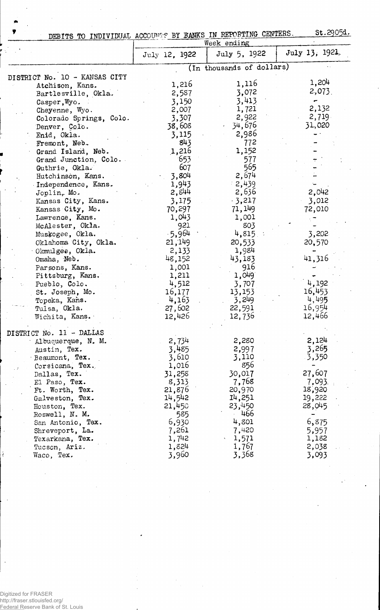| ,                             | St.2905d.<br>DEBITS TO INDIVIDUAL ACCOUNTS BY BANKS IN REPORTING CENTERS. |                             |                |  |  |
|-------------------------------|---------------------------------------------------------------------------|-----------------------------|----------------|--|--|
|                               |                                                                           | Week ending<br>July 5, 1922 | July 13, 1921, |  |  |
|                               | July 12, 1922                                                             |                             |                |  |  |
|                               |                                                                           | (In thousands of dollars)   |                |  |  |
| DISTRICT No. 10 - KANSAS CITY |                                                                           |                             | 1,204          |  |  |
| Atchison, Kans.               | 1,216                                                                     | 1,116                       | $2,073$ .      |  |  |
| Bartlesville, Okla.           | 2,587                                                                     | 3,072                       |                |  |  |
| Casper, Wyo.                  | 3,150                                                                     | 3,413                       |                |  |  |
| Cheyenne, Wyo.                | 2,007                                                                     | 1,721                       | 2,132          |  |  |
| Colorado Springs, Colo.       | 3,307                                                                     | 2,922                       | 2,719          |  |  |
| Denver, Colo.                 | 38,608                                                                    | $-34,676$                   | 31,020         |  |  |
| Enid, Okla.                   | 3,115                                                                     | 2,986                       |                |  |  |
| Fremont, Neb.                 | 843                                                                       | 772                         |                |  |  |
| Grand Island, Neb.            | 1,216                                                                     | 1,152                       |                |  |  |
| Grand Junction, Colo.         | 653                                                                       | 577                         |                |  |  |
| Guthrie, Okla.                | 607                                                                       | 565                         |                |  |  |
| Hutchinson, Kans.             | 3,804                                                                     | 2,674                       |                |  |  |
| Independence, Kans.           | 1,943                                                                     | 2,439                       |                |  |  |
| $Joplinr$ Mo.                 | 2,844                                                                     | 2,636                       | 2,042          |  |  |
| Kansas City, Kans.            | 3,175                                                                     | $-3,217$                    | 3,012          |  |  |
| Kansas City, Mo.              | 70,297                                                                    | 71, 149                     | 72,010         |  |  |
| Lawrence, Kans.               | 1,043                                                                     | 1,001                       |                |  |  |
| McAlester, Okla.              | 921                                                                       | 803                         |                |  |  |
| Muskogee, Okla.               | $-5,964$                                                                  | $4,815$ .                   | 3,202          |  |  |
| Oklahoma City, Okla.          | 21,149                                                                    | 20,533                      | 20,570         |  |  |
| Okmulgee, Okla.               | 2,133                                                                     | 1,984                       |                |  |  |
| Omaha, Neb.                   | 48,152                                                                    | 43,183                      | 41,316         |  |  |
| Parsons, Kans.                | 1,001                                                                     | 916                         |                |  |  |
| Pittsburg, Kans.              | 1,211                                                                     | 1,049                       |                |  |  |
| Pueblo, Colo.                 | 4,512                                                                     | 3,707                       | 4,192          |  |  |
| St. Joseph, Mo.               | 16,177                                                                    | 13,153                      | 16,453         |  |  |
| Topeka, Kans.                 | 4,163                                                                     | 3,249                       | 4,495          |  |  |
| Tulsa, Okla.                  | 27,602                                                                    | 22,591                      | 16,954         |  |  |
| Wichita, Kans.                | 12,426                                                                    | 12,736                      | 12,466         |  |  |
| DISTRICT No. 11 - DALLAS      |                                                                           |                             |                |  |  |
| Albuquerque, N. M.            | 2,734                                                                     | 2,280                       | 2,124          |  |  |
| Austin, Tex.                  | 3,485                                                                     | 2,997                       | 3,265          |  |  |
| Beaumont, Tex.                | 3,610                                                                     | 3,110                       | 3,350          |  |  |
| Corsicana, Tex.               | 1,016                                                                     | 856                         |                |  |  |
| Dallas, Tex.                  | 31,258                                                                    | 30,017                      | 27,607         |  |  |
| El Paso, Tex.                 | 8,313                                                                     | 7,768                       | 7,093.         |  |  |
| Ft. Worth, Tex.               | 21,876                                                                    | 20,970                      | 18,920         |  |  |
| Galveston, Tex.               | 14,542                                                                    | 14,251                      | 19,222         |  |  |
| Houston, Tex.                 | 21,450                                                                    | 23,450                      | 28,045         |  |  |
| Roswell, N. M.                | 585                                                                       | 466                         |                |  |  |
| San Antonio, Tex.             | 6,930                                                                     | 4,801                       | 6,875          |  |  |
| Shreveport, La.               | 7,261                                                                     | 7,420                       | 5,957          |  |  |
| Texarkana, Tex.               | 1,742                                                                     | 1,571                       | 1,182          |  |  |
| Tucson, Ariz.                 | 1,824                                                                     | 1,767                       | 2,038          |  |  |
| Waco, Tex.                    | 3,960                                                                     | 3,368                       | 3,093          |  |  |

Digitized for FRASER http://fraser.stlouisfed.org/ Federal Reserve Bank of St. Louis

 $\ddot{\epsilon}$